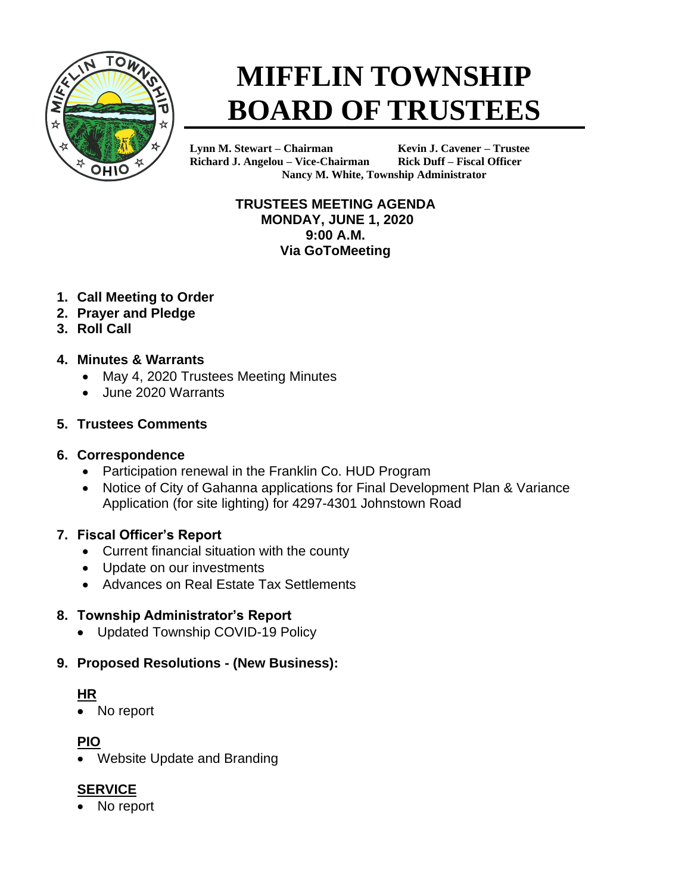

# **MIFFLIN TOWNSHIP BOARD OF TRUSTEES**

**Lynn M. Stewart – Chairman Kevin J. Cavener – Trustee Richard J. Angelou – Vice-Chairman Rick Duff – Fiscal Officer Nancy M. White, Township Administrator**

> **TRUSTEES MEETING AGENDA MONDAY, JUNE 1, 2020 9:00 A.M. Via GoToMeeting**

- **1. Call Meeting to Order**
- **2. Prayer and Pledge**
- **3. Roll Call**
- **4. Minutes & Warrants**
	- May 4, 2020 Trustees Meeting Minutes
	- June 2020 Warrants

#### **5. Trustees Comments**

#### **6. Correspondence**

- Participation renewal in the Franklin Co. HUD Program
- Notice of City of Gahanna applications for Final Development Plan & Variance Application (for site lighting) for 4297-4301 Johnstown Road

## **7. Fiscal Officer's Report**

- Current financial situation with the county
- Update on our investments
- Advances on Real Estate Tax Settlements

## **8. Township Administrator's Report**

• Updated Township COVID-19 Policy

## **9. Proposed Resolutions - (New Business):**

## **HR**

• No report

## **PIO**

• Website Update and Branding

# **SERVICE**

No report